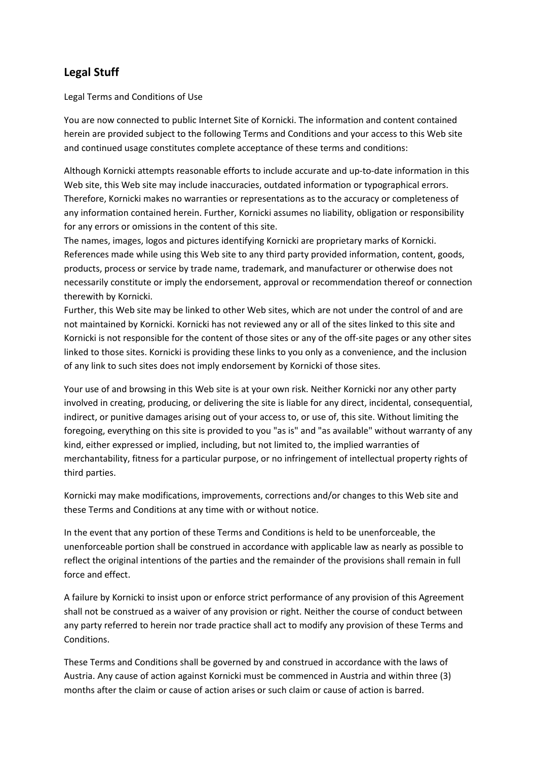# **Legal Stuff**

Legal Terms and Conditions of Use

You are now connected to public Internet Site of Kornicki. The information and content contained herein are provided subject to the following Terms and Conditions and your access to this Web site and continued usage constitutes complete acceptance of these terms and conditions:

Although Kornicki attempts reasonable efforts to include accurate and up-to-date information in this Web site, this Web site may include inaccuracies, outdated information or typographical errors. Therefore, Kornicki makes no warranties or representations as to the accuracy or completeness of any information contained herein. Further, Kornicki assumes no liability, obligation or responsibility for any errors or omissions in the content of this site.

The names, images, logos and pictures identifying Kornicki are proprietary marks of Kornicki. References made while using this Web site to any third party provided information, content, goods, products, process or service by trade name, trademark, and manufacturer or otherwise does not necessarily constitute or imply the endorsement, approval or recommendation thereof or connection therewith by Kornicki.

Further, this Web site may be linked to other Web sites, which are not under the control of and are not maintained by Kornicki. Kornicki has not reviewed any or all of the sites linked to this site and Kornicki is not responsible for the content of those sites or any of the off-site pages or any other sites linked to those sites. Kornicki is providing these links to you only as a convenience, and the inclusion of any link to such sites does not imply endorsement by Kornicki of those sites.

Your use of and browsing in this Web site is at your own risk. Neither Kornicki nor any other party involved in creating, producing, or delivering the site is liable for any direct, incidental, consequential, indirect, or punitive damages arising out of your access to, or use of, this site. Without limiting the foregoing, everything on this site is provided to you "as is" and "as available" without warranty of any kind, either expressed or implied, including, but not limited to, the implied warranties of merchantability, fitness for a particular purpose, or no infringement of intellectual property rights of third parties.

Kornicki may make modifications, improvements, corrections and/or changes to this Web site and these Terms and Conditions at any time with or without notice.

In the event that any portion of these Terms and Conditions is held to be unenforceable, the unenforceable portion shall be construed in accordance with applicable law as nearly as possible to reflect the original intentions of the parties and the remainder of the provisions shall remain in full force and effect.

A failure by Kornicki to insist upon or enforce strict performance of any provision of this Agreement shall not be construed as a waiver of any provision or right. Neither the course of conduct between any party referred to herein nor trade practice shall act to modify any provision of these Terms and **Conditions** 

These Terms and Conditions shall be governed by and construed in accordance with the laws of Austria. Any cause of action against Kornicki must be commenced in Austria and within three (3) months after the claim or cause of action arises or such claim or cause of action is barred.